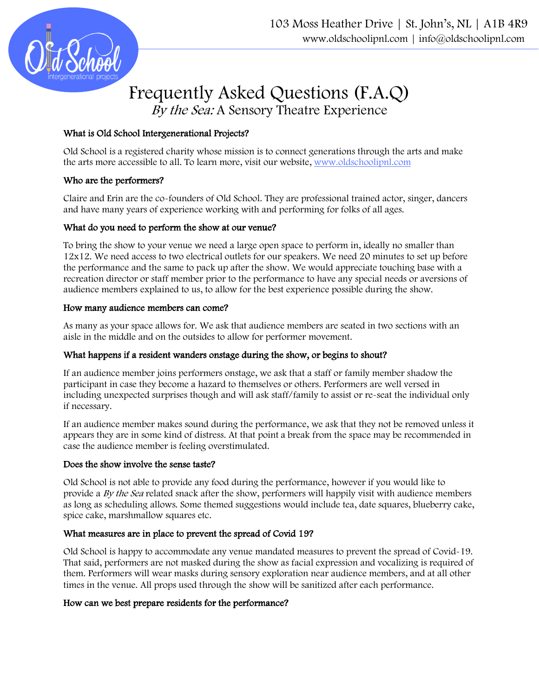

# Frequently Asked Questions (F.A.Q) By the Sea: A Sensory Theatre Experience

# What is Old School Intergenerational Projects?

Old School is a registered charity whose mission is to connect generations through the arts and make the arts more accessible to all. To learn more, visit our website, [www.oldschoolipnl.com](http://www.oldschoolipnl.com/)

# Who are the performers?

Claire and Erin are the co-founders of Old School. They are professional trained actor, singer, dancers and have many years of experience working with and performing for folks of all ages.

# What do you need to perform the show at our venue?

To bring the show to your venue we need a large open space to perform in, ideally no smaller than 12x12. We need access to two electrical outlets for our speakers. We need 20 minutes to set up before the performance and the same to pack up after the show. We would appreciate touching base with a recreation director or staff member prior to the performance to have any special needs or aversions of audience members explained to us, to allow for the best experience possible during the show.

#### How many audience members can come?

As many as your space allows for. We ask that audience members are seated in two sections with an aisle in the middle and on the outsides to allow for performer movement.

# What happens if a resident wanders onstage during the show, or begins to shout?

If an audience member joins performers onstage, we ask that a staff or family member shadow the participant in case they become a hazard to themselves or others. Performers are well versed in including unexpected surprises though and will ask staff/family to assist or re-seat the individual only if necessary.

If an audience member makes sound during the performance, we ask that they not be removed unless it appears they are in some kind of distress. At that point a break from the space may be recommended in case the audience member is feeling overstimulated.

# Does the show involve the sense taste?

Old School is not able to provide any food during the performance, however if you would like to provide a By the Sea related snack after the show, performers will happily visit with audience members as long as scheduling allows. Some themed suggestions would include tea, date squares, blueberry cake, spice cake, marshmallow squares etc.

# What measures are in place to prevent the spread of Covid 19?

Old School is happy to accommodate any venue mandated measures to prevent the spread of Covid-19. That said, performers are not masked during the show as facial expression and vocalizing is required of them. Performers will wear masks during sensory exploration near audience members, and at all other times in the venue. All props used through the show will be sanitized after each performance.

# How can we best prepare residents for the performance?